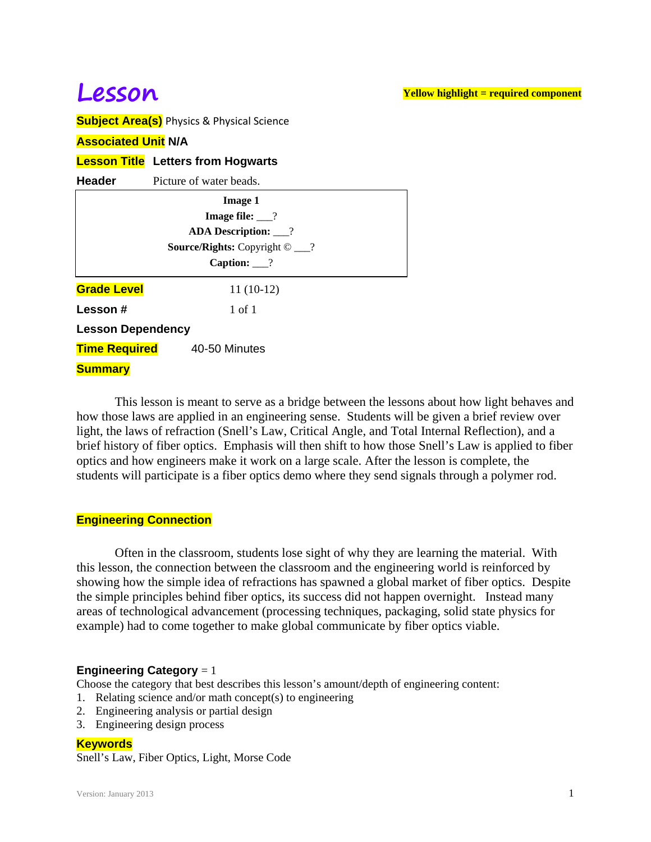# **Lesson**

**Yellow highlight = required component**

**Subject Area(s)** Physics & Physical Science

## **Associated Unit N/A**

## **Lesson Title Letters from Hogwarts**

| Header                                      | Picture of water beads.    |  |
|---------------------------------------------|----------------------------|--|
|                                             | <b>Image 1</b>             |  |
|                                             | <b>Image file:</b> $\_\$ ? |  |
| <b>ADA Description:</b> ___?                |                            |  |
| <b>Source/Rights:</b> Copyright $\odot$ __? |                            |  |
| Caption: $\frac{?}$                         |                            |  |
| <b>Grade Level</b>                          | $11(10-12)$                |  |
| Lesson#                                     | 1 of 1                     |  |
| <b>Lesson Dependency</b>                    |                            |  |
| <b>Time Required</b>                        | 40-50 Minutes              |  |
| <b>Summary</b>                              |                            |  |

 This lesson is meant to serve as a bridge between the lessons about how light behaves and how those laws are applied in an engineering sense. Students will be given a brief review over light, the laws of refraction (Snell's Law, Critical Angle, and Total Internal Reflection), and a brief history of fiber optics. Emphasis will then shift to how those Snell's Law is applied to fiber optics and how engineers make it work on a large scale. After the lesson is complete, the students will participate is a fiber optics demo where they send signals through a polymer rod.

## **Engineering Connection**

 Often in the classroom, students lose sight of why they are learning the material. With this lesson, the connection between the classroom and the engineering world is reinforced by showing how the simple idea of refractions has spawned a global market of fiber optics. Despite the simple principles behind fiber optics, its success did not happen overnight. Instead many areas of technological advancement (processing techniques, packaging, solid state physics for example) had to come together to make global communicate by fiber optics viable.

## **Engineering Category** = 1

Choose the category that best describes this lesson's amount/depth of engineering content:

- 1. Relating science and/or math concept(s) to engineering
- 2. Engineering analysis or partial design
- 3. Engineering design process

## **Keywords**

Snell's Law, Fiber Optics, Light, Morse Code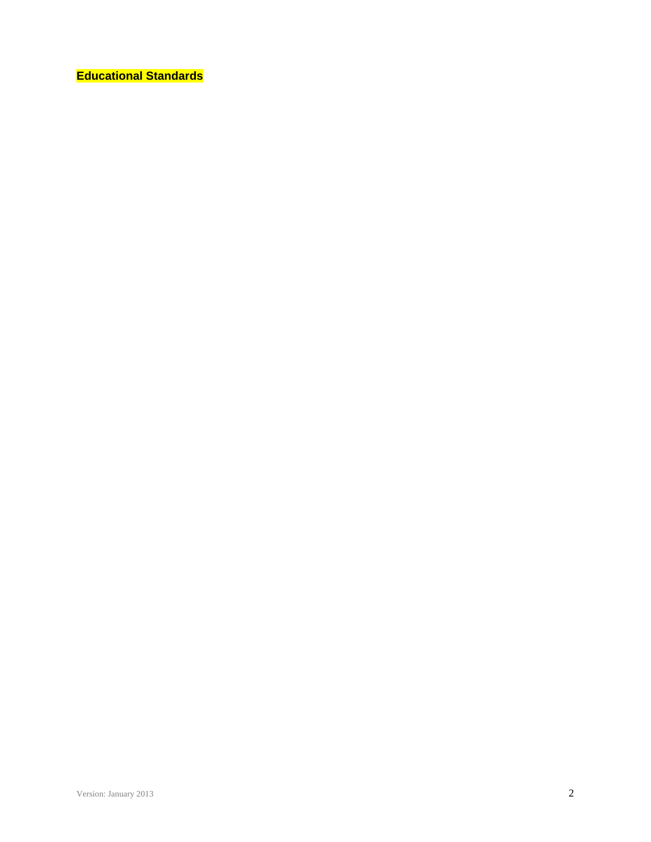**Educational Standards**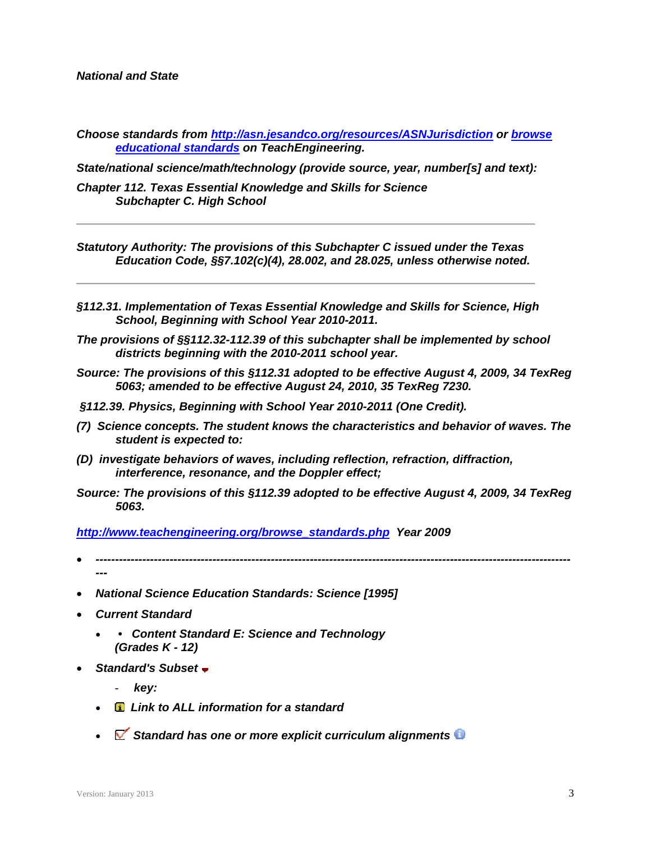*National and State* 

*Choose standards from http://asn.jesandco.org/resources/ASNJurisdiction or browse educational standards on TeachEngineering.* 

*State/national science/math/technology (provide source, year, number[s] and text):* 

*Chapter 112. Texas Essential Knowledge and Skills for Science Subchapter C. High School* 

*Statutory Authority: The provisions of this Subchapter C issued under the Texas Education Code, §§7.102(c)(4), 28.002, and 28.025, unless otherwise noted.* 

- *§112.31. Implementation of Texas Essential Knowledge and Skills for Science, High School, Beginning with School Year 2010-2011.*
- *The provisions of §§112.32-112.39 of this subchapter shall be implemented by school districts beginning with the 2010-2011 school year.*
- *Source: The provisions of this §112.31 adopted to be effective August 4, 2009, 34 TexReg 5063; amended to be effective August 24, 2010, 35 TexReg 7230.*
- *§112.39. Physics, Beginning with School Year 2010-2011 (One Credit).*
- *(7) Science concepts. The student knows the characteristics and behavior of waves. The student is expected to:*
- *(D) investigate behaviors of waves, including reflection, refraction, diffraction, interference, resonance, and the Doppler effect;*
- *Source: The provisions of this §112.39 adopted to be effective August 4, 2009, 34 TexReg 5063.*

*http://www.teachengineering.org/browse\_standards.php Year 2009* 

- *-------------------------------------------------------------------------------------------------------------------------- ---*
- *National Science Education Standards: Science [1995]*
- *Current Standard* 
	- *Content Standard E: Science and Technology (Grades K - 12)*
- *Standard's Subset* 
	- *key:*
	- *Link to ALL information for a standard*
	- *Standard has one or more explicit curriculum alignments*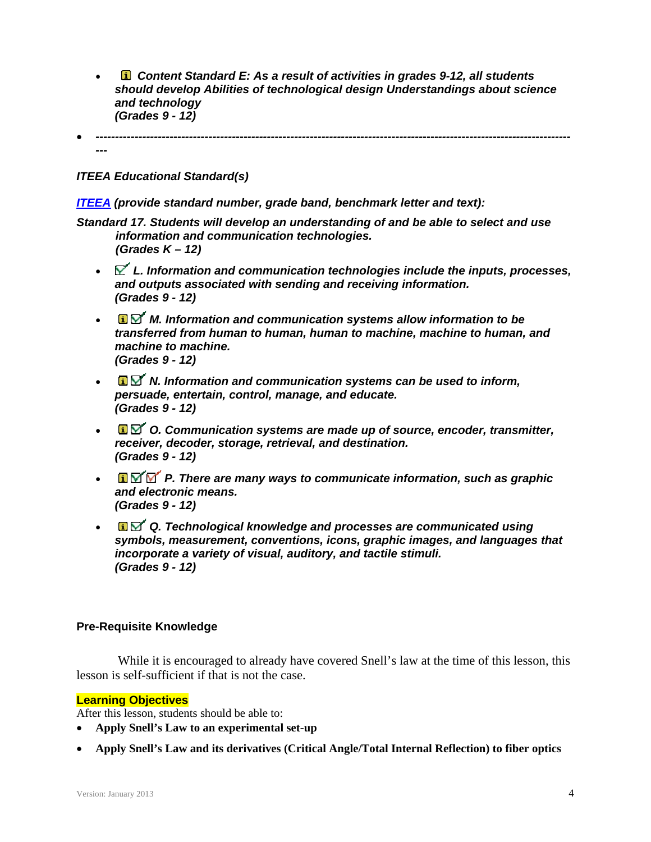*Content Standard E: As a result of activities in grades 9-12, all students should develop Abilities of technological design Understandings about science and technology (Grades 9 - 12)* 

*--------------------------------------------------------------------------------------------------------------------------*

*ITEEA Educational Standard(s)* 

*---* 

*ITEEA (provide standard number, grade band, benchmark letter and text):* 

*Standard 17. Students will develop an understanding of and be able to select and use information and communication technologies. (Grades K – 12)* 

- *L. Information and communication technologies include the inputs, processes, and outputs associated with sending and receiving information. (Grades 9 - 12)*
- **a**⊠ *M. Information and communication systems allow information to be transferred from human to human, human to machine, machine to human, and machine to machine. (Grades 9 - 12)*
- *N. Information and communication systems can be used to inform, persuade, entertain, control, manage, and educate. (Grades 9 - 12)*
- *O. Communication systems are made up of source, encoder, transmitter, receiver, decoder, storage, retrieval, and destination. (Grades 9 - 12)*
- **• D** $\mathbb{Z}$  **P**. There are many ways to communicate information, such as graphic *and electronic means. (Grades 9 - 12)*
- **a** $\mathbf{\Omega}$  **Q**. Technological knowledge and processes are communicated using *symbols, measurement, conventions, icons, graphic images, and languages that incorporate a variety of visual, auditory, and tactile stimuli. (Grades 9 - 12)*

# **Pre-Requisite Knowledge**

 While it is encouraged to already have covered Snell's law at the time of this lesson, this lesson is self-sufficient if that is not the case.

## **Learning Objectives**

After this lesson, students should be able to:

- **Apply Snell's Law to an experimental set-up**
- **Apply Snell's Law and its derivatives (Critical Angle/Total Internal Reflection) to fiber optics**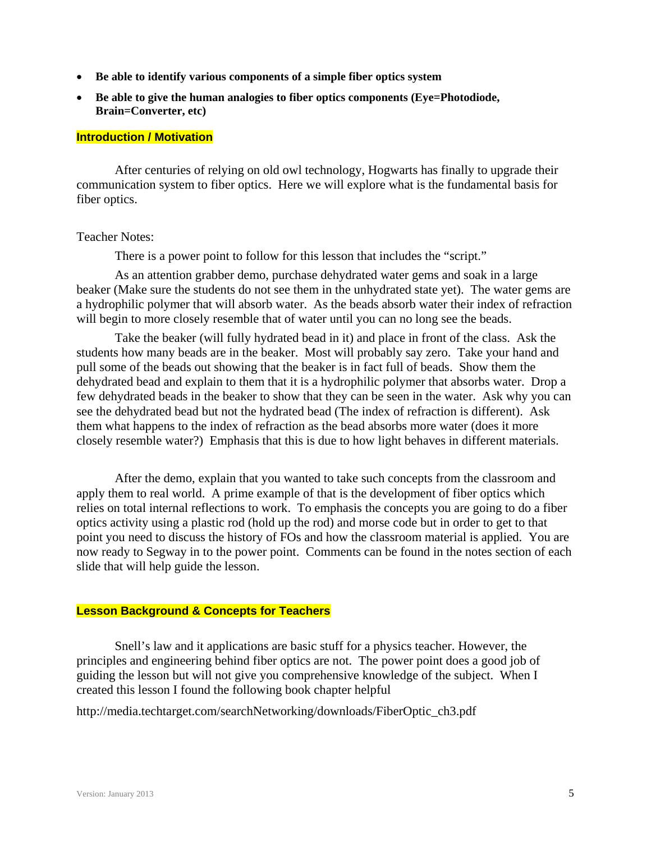- **Be able to identify various components of a simple fiber optics system**
- **Be able to give the human analogies to fiber optics components (Eye=Photodiode, Brain=Converter, etc)**

#### **Introduction / Motivation**

 After centuries of relying on old owl technology, Hogwarts has finally to upgrade their communication system to fiber optics. Here we will explore what is the fundamental basis for fiber optics.

#### Teacher Notes:

There is a power point to follow for this lesson that includes the "script."

 As an attention grabber demo, purchase dehydrated water gems and soak in a large beaker (Make sure the students do not see them in the unhydrated state yet). The water gems are a hydrophilic polymer that will absorb water. As the beads absorb water their index of refraction will begin to more closely resemble that of water until you can no long see the beads.

 Take the beaker (will fully hydrated bead in it) and place in front of the class. Ask the students how many beads are in the beaker. Most will probably say zero. Take your hand and pull some of the beads out showing that the beaker is in fact full of beads. Show them the dehydrated bead and explain to them that it is a hydrophilic polymer that absorbs water. Drop a few dehydrated beads in the beaker to show that they can be seen in the water. Ask why you can see the dehydrated bead but not the hydrated bead (The index of refraction is different). Ask them what happens to the index of refraction as the bead absorbs more water (does it more closely resemble water?) Emphasis that this is due to how light behaves in different materials.

 After the demo, explain that you wanted to take such concepts from the classroom and apply them to real world. A prime example of that is the development of fiber optics which relies on total internal reflections to work. To emphasis the concepts you are going to do a fiber optics activity using a plastic rod (hold up the rod) and morse code but in order to get to that point you need to discuss the history of FOs and how the classroom material is applied. You are now ready to Segway in to the power point. Comments can be found in the notes section of each slide that will help guide the lesson.

# **Lesson Background & Concepts for Teachers**

 Snell's law and it applications are basic stuff for a physics teacher. However, the principles and engineering behind fiber optics are not. The power point does a good job of guiding the lesson but will not give you comprehensive knowledge of the subject. When I created this lesson I found the following book chapter helpful

http://media.techtarget.com/searchNetworking/downloads/FiberOptic\_ch3.pdf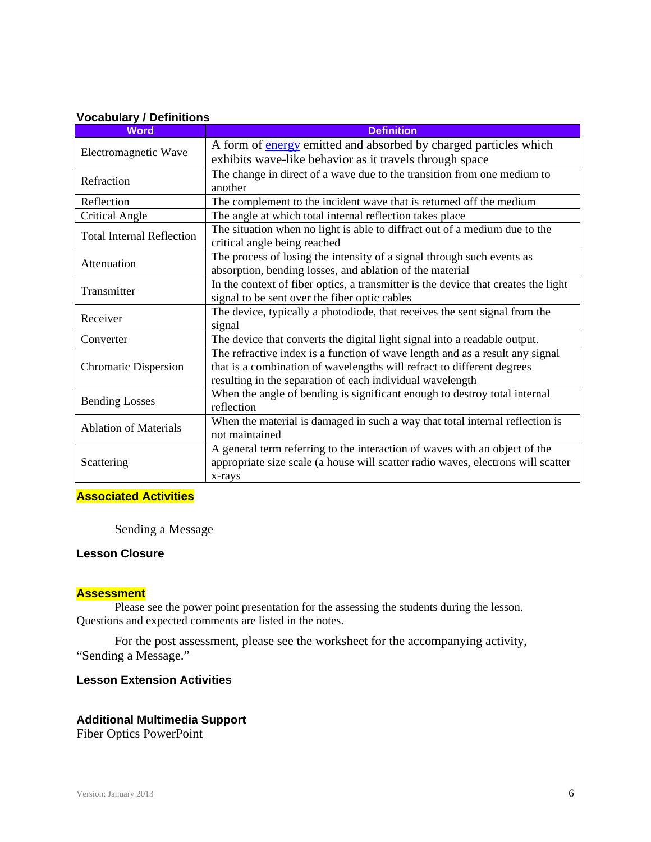#### **Vocabulary / Definitions**

| <b>Word</b>                      | <b>Definition</b>                                                                  |
|----------------------------------|------------------------------------------------------------------------------------|
| Electromagnetic Wave             | A form of <b>energy</b> emitted and absorbed by charged particles which            |
|                                  | exhibits wave-like behavior as it travels through space                            |
| Refraction                       | The change in direct of a wave due to the transition from one medium to            |
|                                  | another                                                                            |
| Reflection                       | The complement to the incident wave that is returned off the medium                |
| Critical Angle                   | The angle at which total internal reflection takes place                           |
| <b>Total Internal Reflection</b> | The situation when no light is able to diffract out of a medium due to the         |
|                                  | critical angle being reached                                                       |
| Attenuation                      | The process of losing the intensity of a signal through such events as             |
|                                  | absorption, bending losses, and ablation of the material                           |
| Transmitter                      | In the context of fiber optics, a transmitter is the device that creates the light |
|                                  | signal to be sent over the fiber optic cables                                      |
| Receiver                         | The device, typically a photodiode, that receives the sent signal from the         |
|                                  | signal                                                                             |
| Converter                        | The device that converts the digital light signal into a readable output.          |
|                                  | The refractive index is a function of wave length and as a result any signal       |
| <b>Chromatic Dispersion</b>      | that is a combination of wavelengths will refract to different degrees             |
|                                  | resulting in the separation of each individual wavelength                          |
| <b>Bending Losses</b>            | When the angle of bending is significant enough to destroy total internal          |
|                                  | reflection                                                                         |
| <b>Ablation of Materials</b>     | When the material is damaged in such a way that total internal reflection is       |
|                                  | not maintained                                                                     |
| Scattering                       | A general term referring to the interaction of waves with an object of the         |
|                                  | appropriate size scale (a house will scatter radio waves, electrons will scatter   |
|                                  | x-rays                                                                             |

## **Associated Activities**

Sending a Message

#### **Lesson Closure**

## **Assessment**

 Please see the power point presentation for the assessing the students during the lesson. Questions and expected comments are listed in the notes.

 For the post assessment, please see the worksheet for the accompanying activity, "Sending a Message."

# **Lesson Extension Activities**

## **Additional Multimedia Support**

Fiber Optics PowerPoint